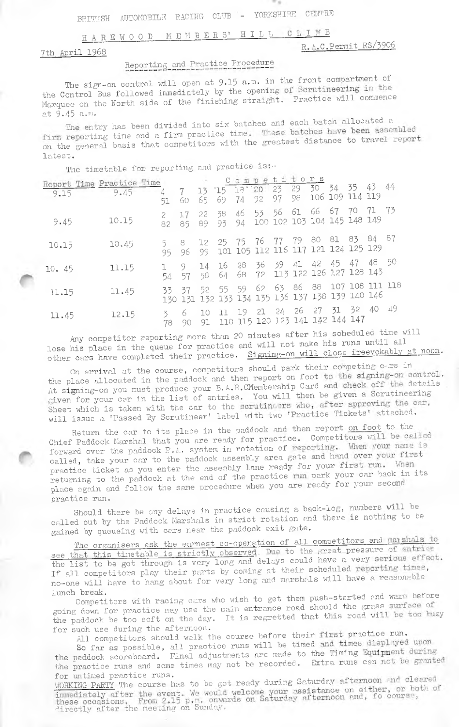#### HAREWOOD MEMBERS' HILL CLIMB

7th April 1968

## R.A.C.Permit RS/3906

# Reporting and Practice Procedure

The sign-on control will open at 9.15 a.m. in the front compartment of the Control Bus followed immediately by the opening of Scrutineering in the Marquee on the North side of the finishing straight. Practice will commence at 9.45 a.m.

The entry has been divided into six batches and each batch allocated a firm reporting time and a firm practice time. These batches have been assembled<br>on the general basis that competitors with the greatest distance to travel report latest.

The timetable for reporting and practice is:-

|       | Report Time Practice Time |             |             |            |  | Compe                                                                          | titors |                 |       |      |
|-------|---------------------------|-------------|-------------|------------|--|--------------------------------------------------------------------------------|--------|-----------------|-------|------|
| 9.15  | 9.45                      | 4<br>51     | $-7$<br>60. |            |  | 13 15 13 20 23 29 30 34 35 43 44<br>65 69 74 92 97 98                          |        | 106 109 114 119 |       |      |
| 9.45  | 10.15                     | 82          | 17.<br>85   |            |  | 22 38 46 53 56 61 66 67 70<br>89 93 94 100 102 103 104 145 148 149             |        |                 | -71   | - 73 |
| 10.15 | 10.45                     | 5.<br>95.   | $-8$<br>-96 |            |  | 12 25 75 76 77 79 80 81 83 84 87<br>99 101 105 112 116 117 121 124 125 129     |        |                 |       |      |
| 10.45 | 11.15                     | 54.         | -9.<br>57   | 14<br>58   |  | 16 28 36 39 41 42 45 47 48 50<br>64 68 72 113 122 126 127 128 143              |        |                 |       |      |
| 11.15 | 11.45                     | 33 37       |             | 52 55 59   |  | 62 63 86 88 107 108 111 118<br>130 131 132 133 134 135 136 137 138 139 140 146 |        |                 |       |      |
| 11.45 | 12.15                     | 3.<br>78 90 | 6.          | 10<br>- 91 |  | 11 19 21 24 26 27 31 32<br>110 115 120 123 141 142 144 147                     |        |                 | 40 49 |      |

Any competitor reporting more than 20 minutes after his scheduled time will lose his place in the queue for practice and will not make his runs until all other cars have completed their practice. Signing-on will close ireevokably at noon.

On arrival at the course, competitors should park their competing c-rs in the place allocated in the paddock and then report on foot to the signing-on control. At signing-on you must produce your B.A.R.CMembership Card and check off the details given for your car in the list of entries. You will then be given a Scrutineering Sheet which is taken with the car to the scrutineers who, after approving the car, will issue a 'Passed By Scrutineer' label with two 'Practice Tickets' attached.

Return the car to its place in the paddock and then report on foot to the Chief Paddock Marshal that you are ready for practice. Competitors will be called forward over the paddock P.A. system in rotation of reporting. When your name is called, take your car to the paddock assembly area gate and hand over your first practice ticket as you enter the assembly lane ready for your first run. When -<br>returning to the paddock at the end of the practice run park your car back in its place again and follow the same procedure when you are ready for your second practice run.

Should there be any delays in practice causing a back-log, numbers will be called out by the Paddock Marshals in strict rotation and there is nothing to be gained by queueing with cers near the paddock exit gate.

The organisers ask the earnest co-operation of all competitors and marshals to<br>see that this timetable is strictly observed. Due to the great pressure of entries the list to be got through is very long and delays could have a very serious effect. If all competitors play their parts by coming at their scheduled reporting times, no-one will have to hang about for very long and marshals will have a reasonable lunch break.

Competitors with racing cars who wish to get them push-started and warm before going down for practice may use the main entrance road should the grass surface of the paddock be too soft on the day. It is regretted that this road will be too husy for such use during the afternoon.

All competitors should walk the course before their first practice run.

So far as possible, all practice runs will be timed and times displayed upon the paddock scoreboard. Final adjustments are made to the Timing Equipment during the practice runs and some times may not be recorded. Extra runs can not be granted for untimed practice runs.

WORKING PARTY The course has to be got ready during Saturday afternoon and cleared immediately after the event. We would welcome your assistance on either, or both of these occasions. From 2.15 p.m. onwards on Saturday afternoon and, fo course, directly after the neeting on Sunday.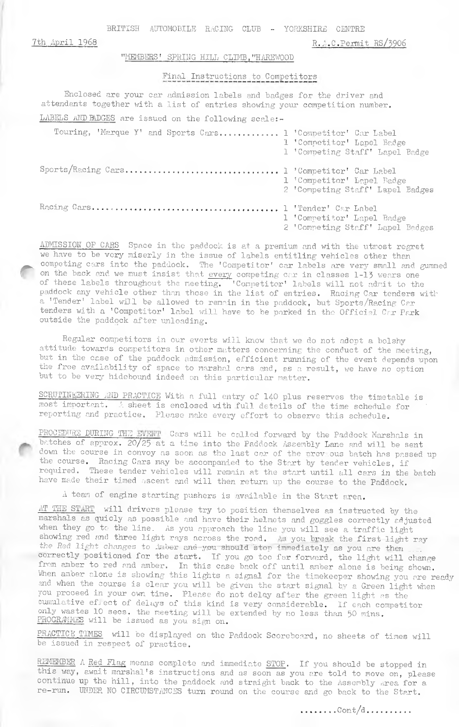BRITISH AUTOMOBILE RACING CLUB - YORKSHIRE CENTRE

7th April 1968

#### "MEMBERS' SPRING HILL CLIMB, "HAREWOOD

### Final Instructions to Competitors

R.A.C.Permit RS/3906

Enclosed are your car admission labels and badges for the driver and attendants together with a list of entries showing your competition number. LABELS AND BADGES are issued on the following scale:-

| Touring, 'Marque Y' and Sports Cars 1 'Competitor' Car Label | 1 'Competitor' Lapel Badge<br>1 'Competing Staff' Lapel Badge  |
|--------------------------------------------------------------|----------------------------------------------------------------|
| Sports/Racing Cars 1 'Competitor' Car Label                  | 1 'Competitor' Lapel Badge<br>2 'Competing Staff' Lapel Badges |
|                                                              | 1 'Competitor' Lapel Badge<br>2 'Competing Staff' Lapel Badges |

ADMISSION OF CARS Space in the paddock is at a premium and with the utmost regret we have to be very miserly in the issue of labels entitling vehicles other than competing cars into the paddock. The 'Competitor' car labels are very small and gummed on the back and we must insist that every competing car in classes 1-13 wears one of these labels throughout the neeting. 'Competitor' labels will not admit to the paddock any vehicle other than those in the list of entries. Racing Car tenders with a 'Tender' label will be allowed to remain in the paddock, but Sports/Racing Car tenders with a 'Competitor' label will have to be parked in the Official Car Park outside the paddock after unloading.

Regular competitors in our everts will know that we do not adopt a bolshy attitude towards competitors in other matters concerning the conduct of the meeting, but in the case of the paddock admission, efficient running of the event depends upon the free availability of space to marshal cars and, as a result, we have no option but to be very hidebound indeed on this particular matter.

SCRUTINEERING AND PRACTICE With a full entry of 140 plus reserves the timetable is most important. A sheet is enclosed with full details of the time schedule for reporting and practice. Please make every effort to observe this schedule.

PROCEDURE DURING THE EVENT Cars will be called forward by the Paddock Marshals in batches of approx. 20/25 at a time into the Paddock Assembly Lane and will be sent down the course in convoy as soon as the last car of the previous batch has passed up the course. Racing Cars may be accompanied to the Start by tender vehicles, if required. These tender vehicles will remain at the start until all cars in the batch have made their timed ascent and will then return up the course to the Paddock.

A team of engine starting pushers is available in the Start area.

AT THE START will drivers please try to position themselves as instructed by the marshals as quicly as possible and have their helmets and goggles correctly adjusted when they go to the line. As you approach the line you will see a traffic light showing red and three light rays across the road. As you break the first light ray<br>the Red light changes to Anber and you should stop immediately as you are then correctly positioned for the start. If you go too far forward, the light will change from amber to red and amber. In this case back off until amber alone is being shown. When amber alone is showing this lights a signal for the timekeeper showing you are ready and when the course is clear you will be given the start signal by a Green light when you proceed in your own time. Please do not delay after the green light as the cumulative effect of delays of this kind is very considerable. If each competitor only wastes 10 secs. the meeting will be extended by no less than 50 mins. PROGRAMMES will be issued as you sign on.

PRACTICE TIMES will be displayed on the Paddock Scoreboard, no sheets of times will be issued in respect of practice.

REMEMBER A Red Flag means complete and immediate STOP. If you should be stopped in this way, await marshal's instructions and as soon as you are told to move on, please continue up the hill, into the paddock and straight back to the Assembly area for a re-run. UNDER NO CIRCUMSTANCES turn round on the course and go back to the Start.

 $\ldots \ldots \ldots$ Cont/d.........